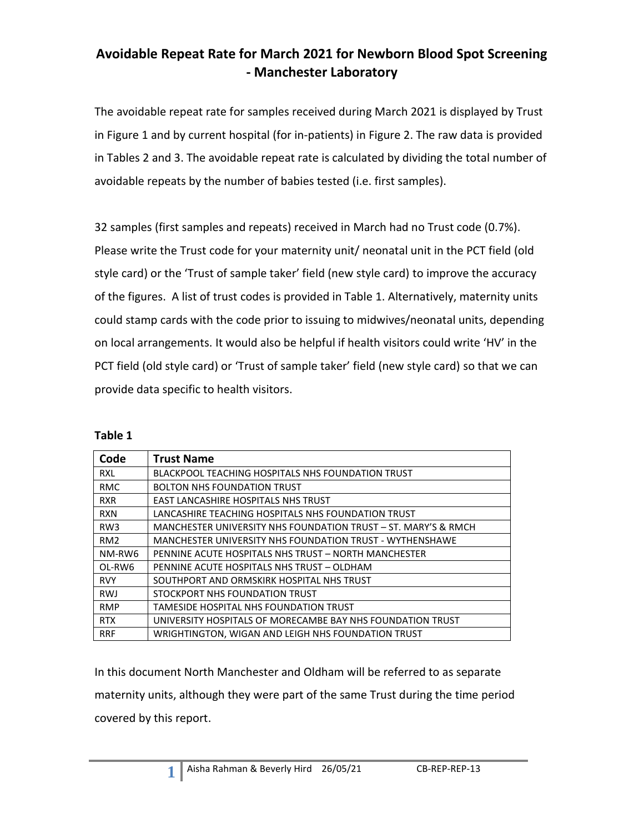### **Avoidable Repeat Rate for March 2021 for Newborn Blood Spot Screening - Manchester Laboratory**

The avoidable repeat rate for samples received during March 2021 is displayed by Trust in Figure 1 and by current hospital (for in-patients) in Figure 2. The raw data is provided in Tables 2 and 3. The avoidable repeat rate is calculated by dividing the total number of avoidable repeats by the number of babies tested (i.e. first samples).

32 samples (first samples and repeats) received in March had no Trust code (0.7%). Please write the Trust code for your maternity unit/ neonatal unit in the PCT field (old style card) or the 'Trust of sample taker' field (new style card) to improve the accuracy of the figures. A list of trust codes is provided in Table 1. Alternatively, maternity units could stamp cards with the code prior to issuing to midwives/neonatal units, depending on local arrangements. It would also be helpful if health visitors could write 'HV' in the PCT field (old style card) or 'Trust of sample taker' field (new style card) so that we can provide data specific to health visitors.

| 'able |  |
|-------|--|
|-------|--|

| Code            | <b>Trust Name</b>                                              |
|-----------------|----------------------------------------------------------------|
| <b>RXL</b>      | BLACKPOOL TEACHING HOSPITALS NHS FOUNDATION TRUST              |
| <b>RMC</b>      | <b>BOLTON NHS FOUNDATION TRUST</b>                             |
| <b>RXR</b>      | EAST LANCASHIRE HOSPITALS NHS TRUST                            |
| <b>RXN</b>      | LANCASHIRE TEACHING HOSPITALS NHS FOUNDATION TRUST             |
| RW <sub>3</sub> | MANCHESTER UNIVERSITY NHS FOUNDATION TRUST - ST. MARY'S & RMCH |
| RM <sub>2</sub> | MANCHESTER UNIVERSITY NHS FOUNDATION TRUST - WYTHENSHAWE       |
| NM-RW6          | PENNINE ACUTE HOSPITALS NHS TRUST - NORTH MANCHESTER           |
| OL-RW6          | PENNINE ACUTE HOSPITALS NHS TRUST - OLDHAM                     |
| <b>RVY</b>      | SOUTHPORT AND ORMSKIRK HOSPITAL NHS TRUST                      |
| <b>RWJ</b>      | STOCKPORT NHS FOUNDATION TRUST                                 |
| <b>RMP</b>      | TAMESIDE HOSPITAL NHS FOUNDATION TRUST                         |
| <b>RTX</b>      | UNIVERSITY HOSPITALS OF MORECAMBE BAY NHS FOUNDATION TRUST     |
| <b>RRF</b>      | WRIGHTINGTON, WIGAN AND LEIGH NHS FOUNDATION TRUST             |

In this document North Manchester and Oldham will be referred to as separate maternity units, although they were part of the same Trust during the time period covered by this report.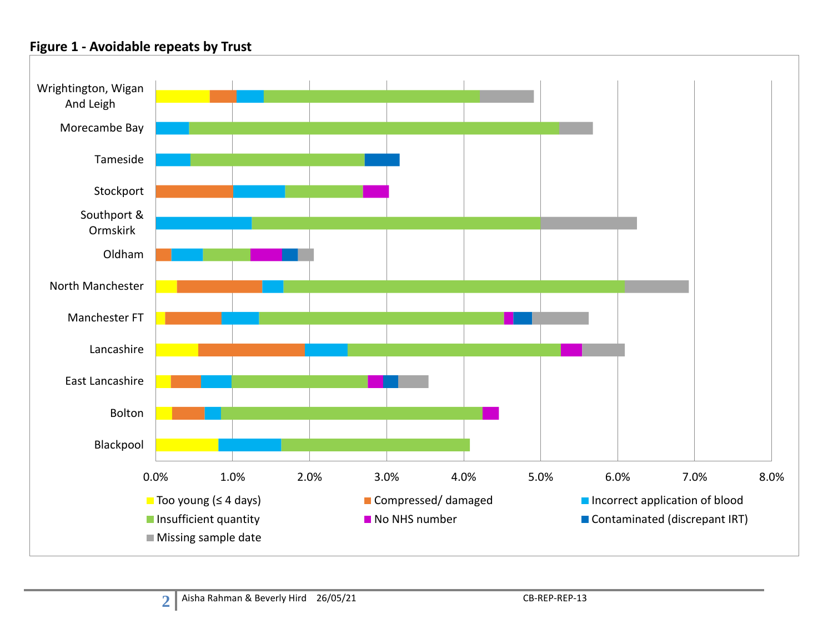#### **Figure 1 - Avoidable repeats by Trust**

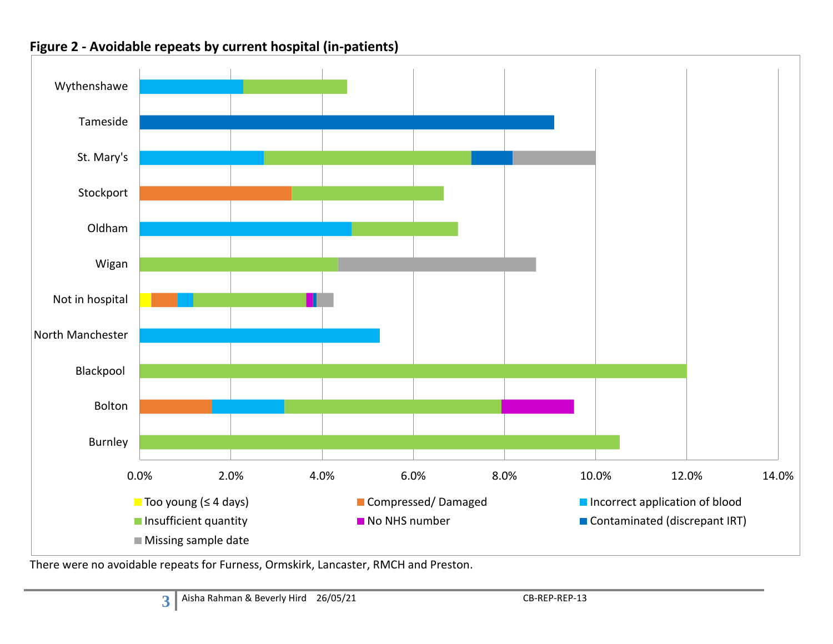

### **Figure 2 - Avoidable repeats by current hospital (in-patients)**

There were no avoidable repeats for Furness, Ormskirk, Lancaster, RMCH and Preston.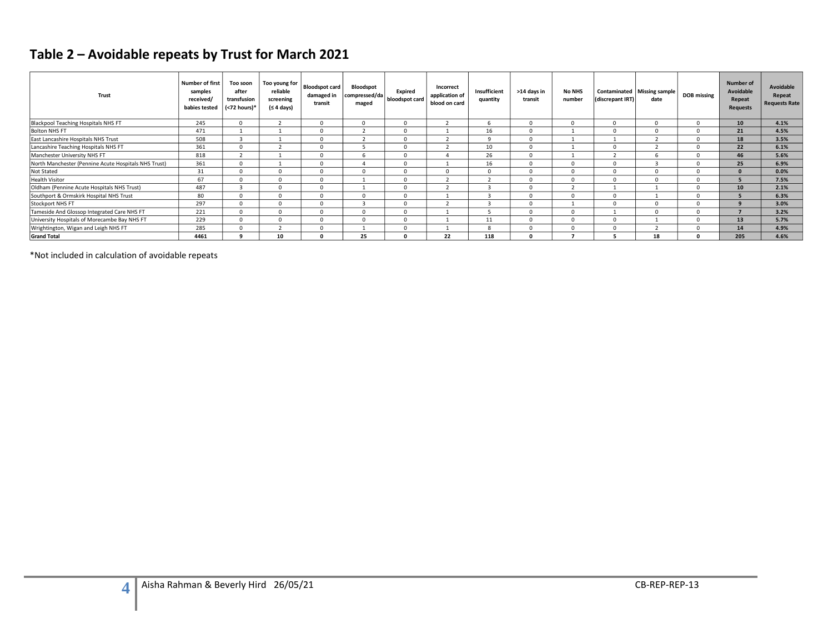# **Table 2 – Avoidable repeats by Trust for March 2021**

| Trust                                                | <b>Number of first</b><br>samples<br>received/<br>babies tested | Too soon<br>after<br>transfusion<br>$\sqrt{5}$ (<72 hours)* | Too young for<br>reliable<br>screening<br>(≤ 4 days) | <b>Bloodspot card</b><br>damaged in<br>transit | <b>Bloodspot</b><br>compressed/da<br>maged | Expired<br>bloodspot card | Incorrect<br>application of<br>blood on card | Insufficient<br>quantity | >14 days in<br>transit | <b>No NHS</b><br>number | (discrepant IRT) | Contaminated   Missing sample<br>date | <b>DOB</b> missing | Number of<br>Avoidable<br>Repeat<br><b>Requests</b> | Avoidable<br>Repeat<br><b>Requests Rate</b> |
|------------------------------------------------------|-----------------------------------------------------------------|-------------------------------------------------------------|------------------------------------------------------|------------------------------------------------|--------------------------------------------|---------------------------|----------------------------------------------|--------------------------|------------------------|-------------------------|------------------|---------------------------------------|--------------------|-----------------------------------------------------|---------------------------------------------|
| <b>Blackpool Teaching Hospitals NHS FT</b>           | 245                                                             |                                                             |                                                      | $\mathbf 0$                                    | $\mathbf{0}$                               | $\Omega$                  |                                              | 6                        | 0                      |                         |                  | $\Omega$                              | $\Omega$           | 10                                                  | 4.1%                                        |
| <b>Bolton NHS FT</b>                                 | 471                                                             |                                                             |                                                      | $\mathbf 0$                                    |                                            | $\Omega$                  |                                              | 16                       | $\Omega$               |                         |                  | $\Omega$                              | $\Omega$           | 21                                                  | 4.5%                                        |
| East Lancashire Hospitals NHS Trust                  | 508                                                             |                                                             |                                                      | $\Omega$                                       |                                            | $\Omega$                  |                                              | q                        | $\Omega$               |                         |                  |                                       | $\Omega$           | 18                                                  | 3.5%                                        |
| Lancashire Teaching Hospitals NHS FT                 | 361                                                             |                                                             |                                                      | $\mathbf 0$                                    |                                            | $\Omega$                  |                                              | 10                       | $\Omega$               |                         | $\Omega$         |                                       | $\Omega$           | 22                                                  | 6.1%                                        |
| Manchester University NHS FT                         | 818                                                             |                                                             |                                                      | 0                                              |                                            | $\Omega$                  |                                              | 26                       | $\Omega$               |                         |                  | 6                                     | $\Omega$           | 46                                                  | 5.6%                                        |
| North Manchester (Pennine Acute Hospitals NHS Trust) | 361                                                             |                                                             |                                                      | $\Omega$                                       |                                            | $\Omega$                  |                                              | 16                       | $\Omega$               |                         |                  |                                       | $\Omega$           | 25                                                  | 6.9%                                        |
| Not Stated                                           | 31                                                              |                                                             | 0                                                    | 0                                              | $\mathbf 0$                                | $\Omega$                  | $\Omega$                                     | $\Omega$                 | $\Omega$               |                         | ſ                | $\Omega$                              | $\Omega$           | $\Omega$                                            | 0.0%                                        |
| <b>Health Visitor</b>                                | 67                                                              |                                                             | $\Omega$                                             | $\Omega$                                       |                                            | $\Omega$                  |                                              |                          | $\Omega$               |                         | $\Omega$         | $\Omega$                              | $\Omega$           |                                                     | 7.5%                                        |
| Oldham (Pennine Acute Hospitals NHS Trust)           | 487                                                             |                                                             | $\mathbf 0$                                          | $\mathbf 0$                                    |                                            | $\mathbf 0$               |                                              | 3                        | $\Omega$               |                         |                  |                                       | $\Omega$           | 10                                                  | 2.1%                                        |
| Southport & Ormskirk Hospital NHS Trust              | 80                                                              |                                                             | $\Omega$                                             | $\Omega$                                       | $\Omega$                                   | $\Omega$                  |                                              |                          | $\Omega$               |                         |                  |                                       | $\Omega$           |                                                     | 6.3%                                        |
| Stockport NHS FT                                     | 297                                                             |                                                             | $\mathbf 0$                                          | $\mathbf 0$                                    |                                            | $\Omega$                  |                                              |                          | $\Omega$               |                         | n                | $\Omega$                              | $\Omega$           | 9                                                   | 3.0%                                        |
| Tameside And Glossop Integrated Care NHS FT          | 221                                                             |                                                             | $\Omega$                                             | $\mathbf 0$                                    | $\Omega$                                   | $\Omega$                  |                                              |                          | $\Omega$               |                         |                  | $\Omega$                              | $\Omega$           |                                                     | 3.2%                                        |
| University Hospitals of Morecambe Bay NHS FT         | 229                                                             |                                                             | $\Omega$                                             | 0                                              | $\Omega$                                   | $\Omega$                  |                                              | 11                       | $\Omega$               |                         | $\Omega$         |                                       | $\Omega$           | 13                                                  | 5.7%                                        |
| Wrightington, Wigan and Leigh NHS FT                 | 285                                                             |                                                             | $\mathbf{\hat{}}$                                    | $\mathbf 0$                                    |                                            | $\Omega$                  |                                              | 8                        | $\Omega$               |                         | $\Omega$         |                                       | $\Omega$           | 14                                                  | 4.9%                                        |
| <b>Grand Total</b>                                   | 4461                                                            |                                                             | 10                                                   | 0                                              | 25                                         | $\Omega$                  | 22                                           | 118                      | $\Omega$               |                         |                  | 18                                    | 0                  | 205                                                 | 4.6%                                        |

\*Not included in calculation of avoidable repeats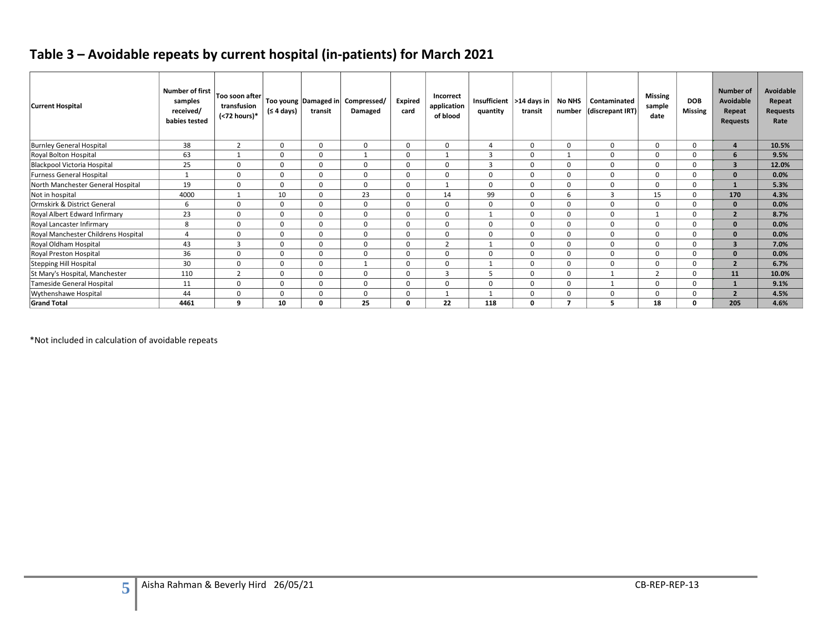# **Table 3 – Avoidable repeats by current hospital (in-patients) for March 2021**

| <b>Current Hospital</b>             | <b>Number of first</b><br>samples<br>received/<br>babies tested | Too soon after<br>transfusion<br>(<72 hours)* | (≤ 4 days)  | transit      | Too young   Damaged in   Compressed/<br>Damaged | <b>Expired</b><br>card | Incorrect<br>application<br>of blood | Insufficient  >14 days in<br>quantity | transit  | No NHS<br>number | Contaminated<br>(discrepant IRT) | <b>Missing</b><br>sample<br>date | <b>DOB</b><br><b>Missing</b> | <b>Number of</b><br>Avoidable<br>Repeat<br><b>Requests</b> | Avoidable<br>Repeat<br><b>Requests</b><br>Rate |
|-------------------------------------|-----------------------------------------------------------------|-----------------------------------------------|-------------|--------------|-------------------------------------------------|------------------------|--------------------------------------|---------------------------------------|----------|------------------|----------------------------------|----------------------------------|------------------------------|------------------------------------------------------------|------------------------------------------------|
| <b>Burnley General Hospital</b>     | 38                                                              | $\overline{2}$                                | $\mathbf 0$ | $\mathbf 0$  | 0                                               | $\Omega$               | $\mathbf 0$                          | 4                                     | $\Omega$ | $\mathbf 0$      | $\Omega$                         | 0                                | $\mathbf 0$                  | $\overline{a}$                                             | 10.5%                                          |
| Royal Bolton Hospital               | 63                                                              |                                               | 0           | $\mathbf 0$  |                                                 | $\Omega$               |                                      | 3                                     | $\Omega$ |                  | 0                                |                                  | 0                            | 6                                                          | 9.5%                                           |
| Blackpool Victoria Hospital         | 25                                                              | $\mathbf 0$                                   | 0           | $\mathbf 0$  | 0                                               | $\Omega$               | $\mathbf 0$                          | 3                                     | $\Omega$ | 0                | $\mathbf 0$                      | $\Omega$                         | 0                            | $\overline{\mathbf{3}}$                                    | 12.0%                                          |
| Furness General Hospital            | $\mathbf{1}$                                                    | $\mathbf 0$                                   | $\mathbf 0$ | $\mathbf 0$  | 0                                               | $\Omega$               | $\mathbf 0$                          | $\Omega$                              | $\Omega$ | $\mathbf 0$      | $\mathbf 0$                      | $\Omega$                         | $\mathbf 0$                  | $\mathbf{0}$                                               | 0.0%                                           |
| North Manchester General Hospital   | 19                                                              | $\mathbf 0$                                   | $\Omega$    | $\mathbf 0$  | 0                                               | $\Omega$               | $\overline{1}$                       | $\Omega$                              | $\Omega$ | $\mathbf 0$      | $\mathbf 0$                      | O                                | $\mathbf 0$                  | $\mathbf{1}$                                               | 5.3%                                           |
| Not in hospital                     | 4000                                                            |                                               | 10          | $\mathbf 0$  | 23                                              | $\Omega$               | 14                                   | 99                                    | $\Omega$ | 6                | 3                                | 15                               | 0                            | 170                                                        | 4.3%                                           |
| Ormskirk & District General         | 6                                                               | $\mathbf 0$                                   | $\mathbf 0$ | $\mathbf 0$  | 0                                               | $\Omega$               | $\mathbf 0$                          | $\Omega$                              | $\Omega$ | $\mathbf 0$      | $\mathbf 0$                      | $\Omega$                         | $\mathbf 0$                  | $\mathbf{0}$                                               | 0.0%                                           |
| Royal Albert Edward Infirmary       | 23                                                              | 0                                             | $\mathbf 0$ | $\mathbf 0$  | 0                                               | $\Omega$               | $\mathbf 0$                          |                                       | $\Omega$ | $\mathbf 0$      | $\mathbf 0$                      |                                  | $\mathbf 0$                  | $\overline{2}$                                             | 8.7%                                           |
| Royal Lancaster Infirmary           | 8                                                               | $\mathbf 0$                                   | $\Omega$    | $\mathbf 0$  | 0                                               | $\Omega$               | $\mathbf 0$                          | $\Omega$                              | $\Omega$ | $\mathbf 0$      | $\mathbf 0$                      | $\Omega$                         | $\mathbf 0$                  | $\mathbf{0}$                                               | 0.0%                                           |
| Royal Manchester Childrens Hospital | $\overline{4}$                                                  | $\mathbf 0$                                   | 0           | $\mathbf 0$  | 0                                               | $\Omega$               | $\mathbf 0$                          | $\Omega$                              | $\Omega$ | $\mathbf 0$      | $\mathbf 0$                      | 0                                | 0                            | $\mathbf{0}$                                               | 0.0%                                           |
| Royal Oldham Hospital               | 43                                                              | 3                                             | 0           | $\mathbf 0$  | 0                                               | $\Omega$               | $\overline{2}$                       |                                       | $\Omega$ | 0                | 0                                | $\Omega$                         | 0                            | $\overline{\mathbf{3}}$                                    | 7.0%                                           |
| Royal Preston Hospital              | 36                                                              | $\mathbf 0$                                   | $\Omega$    | $\mathbf 0$  | 0                                               | $\Omega$               | $\mathbf 0$                          | $\Omega$                              | $\Omega$ | $\mathbf 0$      | $\mathbf 0$                      | $\Omega$                         | $\mathbf 0$                  | $\mathbf{0}$                                               | 0.0%                                           |
| Stepping Hill Hospital              | 30                                                              | $\mathbf 0$                                   | $\mathbf 0$ | $\mathbf 0$  | $\mathbf{1}$                                    | $\Omega$               | $\mathbf 0$                          |                                       | $\Omega$ | $\mathbf 0$      | $\mathbf 0$                      | $\Omega$                         | $\mathbf 0$                  | $\overline{2}$                                             | 6.7%                                           |
| St Mary's Hospital, Manchester      | 110                                                             | $\overline{2}$                                | 0           | $\mathbf 0$  | 0                                               | $\Omega$               | $\overline{3}$                       |                                       | $\Omega$ | $\mathbf 0$      |                                  | h                                | 0                            | 11                                                         | 10.0%                                          |
| Tameside General Hospital           | 11                                                              | 0                                             | $\mathbf 0$ | $\mathbf 0$  | 0                                               | $\Omega$               | $\Omega$                             | $\Omega$                              | $\Omega$ | $\mathbf 0$      |                                  | $\Omega$                         | $\mathbf 0$                  | $\mathbf{1}$                                               | 9.1%                                           |
| Wythenshawe Hospital                | 44                                                              | 0                                             | $\Omega$    | $\mathbf 0$  | 0                                               | $\Omega$               |                                      |                                       | $\Omega$ | $\mathbf 0$      | $\mathbf 0$                      | $\Omega$                         | $\mathbf 0$                  | $\overline{2}$                                             | 4.5%                                           |
| <b>Grand Total</b>                  | 4461                                                            | q                                             | 10          | $\mathbf{0}$ | 25                                              | $\Omega$               | 22                                   | 118                                   | $\Omega$ |                  | 5                                | 18                               | 0                            | 205                                                        | 4.6%                                           |

\*Not included in calculation of avoidable repeats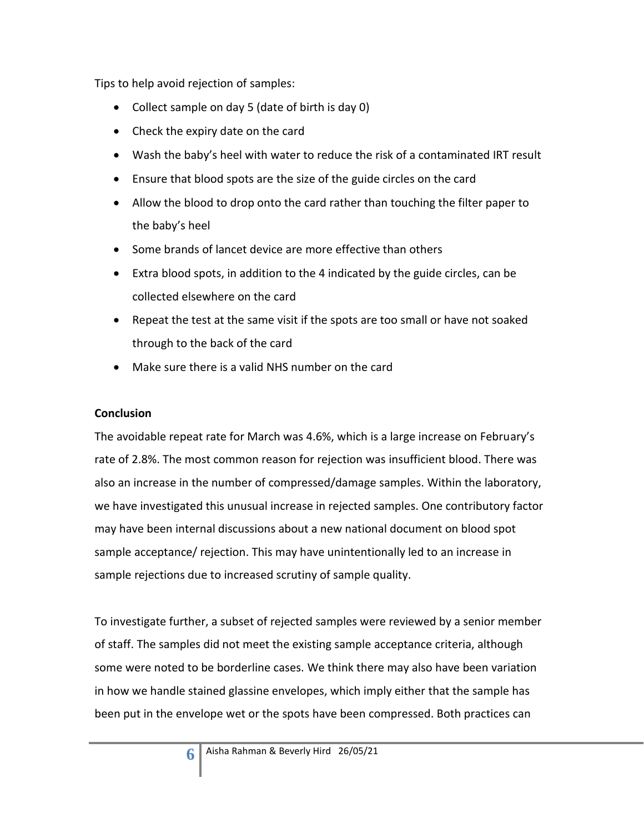Tips to help avoid rejection of samples:

- Collect sample on day 5 (date of birth is day 0)
- Check the expiry date on the card
- Wash the baby's heel with water to reduce the risk of a contaminated IRT result
- Ensure that blood spots are the size of the guide circles on the card
- Allow the blood to drop onto the card rather than touching the filter paper to the baby's heel
- Some brands of lancet device are more effective than others
- Extra blood spots, in addition to the 4 indicated by the guide circles, can be collected elsewhere on the card
- Repeat the test at the same visit if the spots are too small or have not soaked through to the back of the card
- Make sure there is a valid NHS number on the card

#### **Conclusion**

The avoidable repeat rate for March was 4.6%, which is a large increase on February's rate of 2.8%. The most common reason for rejection was insufficient blood. There was also an increase in the number of compressed/damage samples. Within the laboratory, we have investigated this unusual increase in rejected samples. One contributory factor may have been internal discussions about a new national document on blood spot sample acceptance/ rejection. This may have unintentionally led to an increase in sample rejections due to increased scrutiny of sample quality.

To investigate further, a subset of rejected samples were reviewed by a senior member of staff. The samples did not meet the existing sample acceptance criteria, although some were noted to be borderline cases. We think there may also have been variation in how we handle stained glassine envelopes, which imply either that the sample has been put in the envelope wet or the spots have been compressed. Both practices can